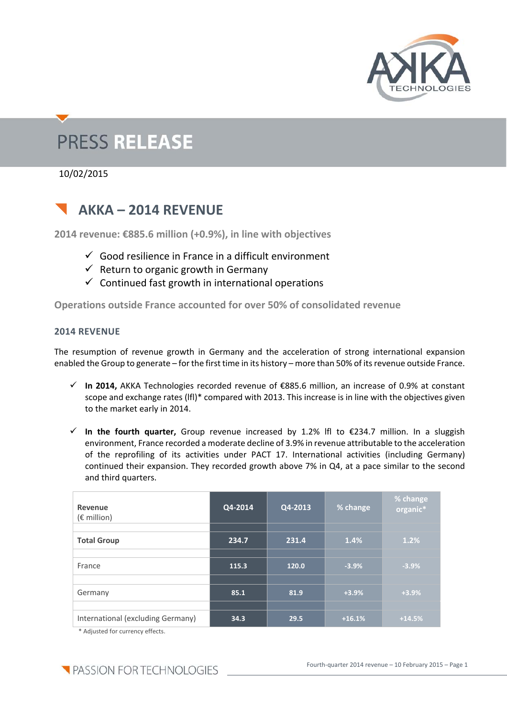

# **PRESS RELEASE**

10/02/2015

## **AKKA – 2014 REVENUE**

**2014 revenue: €885.6 million (+0.9%), in line with objectives**

- $\checkmark$  Good resilience in France in a difficult environment
- $\checkmark$  Return to organic growth in Germany
- $\checkmark$  Continued fast growth in international operations

**Operations outside France accounted for over 50% of consolidated revenue**

#### **2014 REVENUE**

The resumption of revenue growth in Germany and the acceleration of strong international expansion enabled the Group to generate – for the first time in its history – more than 50% of its revenue outside France.

- **In 2014,** AKKA Technologies recorded revenue of €885.6 million, an increase of 0.9% at constant scope and exchange rates (lfl)\* compared with 2013. This increase is in line with the objectives given to the market early in 2014.
- **In the fourth quarter,** Group revenue increased by 1.2% lfl to €234.7 million. In a sluggish environment, France recorded a moderate decline of 3.9% in revenue attributable to the acceleration of the reprofiling of its activities under PACT 17. International activities (including Germany) continued their expansion. They recorded growth above 7% in Q4, at a pace similar to the second and third quarters.

| Revenue<br>$(\epsilon \text{ million})$ | Q4-2014 | Q4-2013 | % change | % change<br>organic* |
|-----------------------------------------|---------|---------|----------|----------------------|
| <b>Total Group</b>                      | 234.7   | 231.4   | 1.4%     | 1.2%                 |
| France                                  | 115.3   | 120.0   | $-3.9%$  | $-3.9%$              |
| Germany                                 | 85.1    | 81.9    | $+3.9%$  | $+3.9%$              |
| International (excluding Germany)       | 34.3    | 29.5    | $+16.1%$ | $+14.5%$             |

\* Adjusted for currency effects.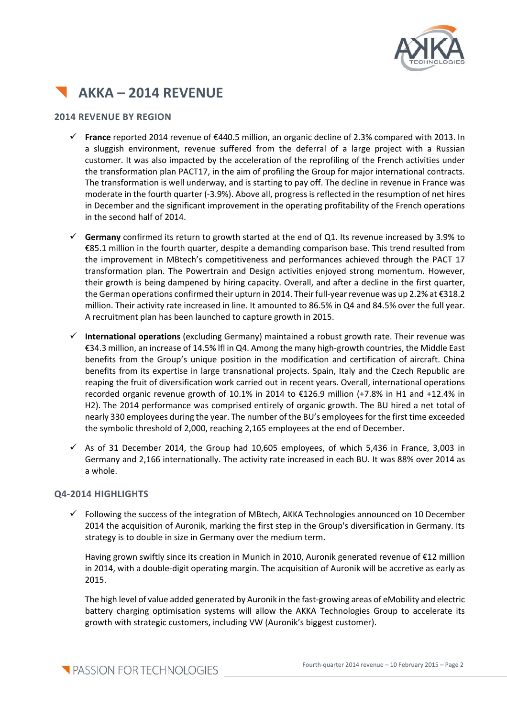



#### **2014 REVENUE BY REGION**

- **France** reported 2014 revenue of €440.5 million, an organic decline of 2.3% compared with 2013. In a sluggish environment, revenue suffered from the deferral of a large project with a Russian customer. It was also impacted by the acceleration of the reprofiling of the French activities under the transformation plan PACT17, in the aim of profiling the Group for major international contracts. The transformation is well underway, and is starting to pay off. The decline in revenue in France was moderate in the fourth quarter (-3.9%). Above all, progress is reflected in the resumption of net hires in December and the significant improvement in the operating profitability of the French operations in the second half of 2014.
- **Germany** confirmed its return to growth started at the end of Q1. Its revenue increased by 3.9% to €85.1 million in the fourth quarter, despite a demanding comparison base. This trend resulted from the improvement in MBtech's competitiveness and performances achieved through the PACT 17 transformation plan. The Powertrain and Design activities enjoyed strong momentum. However, their growth is being dampened by hiring capacity. Overall, and after a decline in the first quarter, the German operations confirmed their upturn in 2014. Their full‐yearrevenue was up 2.2% at €318.2 million. Their activity rate increased in line. It amounted to 86.5% in Q4 and 84.5% over the full year. A recruitment plan has been launched to capture growth in 2015.
- **International operations** (excluding Germany) maintained a robust growth rate. Their revenue was €34.3 million, an increase of 14.5% lfl in Q4. Among the many high‐growth countries, the Middle East benefits from the Group's unique position in the modification and certification of aircraft. China benefits from its expertise in large transnational projects. Spain, Italy and the Czech Republic are reaping the fruit of diversification work carried out in recent years. Overall, international operations recorded organic revenue growth of 10.1% in 2014 to €126.9 million (+7.8% in H1 and +12.4% in H2). The 2014 performance was comprised entirely of organic growth. The BU hired a net total of nearly 330 employees during the year. The number of the BU's employeesfor the first time exceeded the symbolic threshold of 2,000, reaching 2,165 employees at the end of December.
- $\checkmark$  As of 31 December 2014, the Group had 10,605 employees, of which 5,436 in France, 3,003 in Germany and 2,166 internationally. The activity rate increased in each BU. It was 88% over 2014 as a whole.

#### **Q4‐2014 HIGHLIGHTS**

 $\checkmark$  Following the success of the integration of MBtech, AKKA Technologies announced on 10 December 2014 the acquisition of Auronik, marking the first step in the Group's diversification in Germany. Its strategy is to double in size in Germany over the medium term.

Having grown swiftly since its creation in Munich in 2010, Auronik generated revenue of €12 million in 2014, with a double‐digit operating margin. The acquisition of Auronik will be accretive as early as 2015.

The high level of value added generated by Auronik in the fast-growing areas of eMobility and electric battery charging optimisation systems will allow the AKKA Technologies Group to accelerate its growth with strategic customers, including VW (Auronik's biggest customer).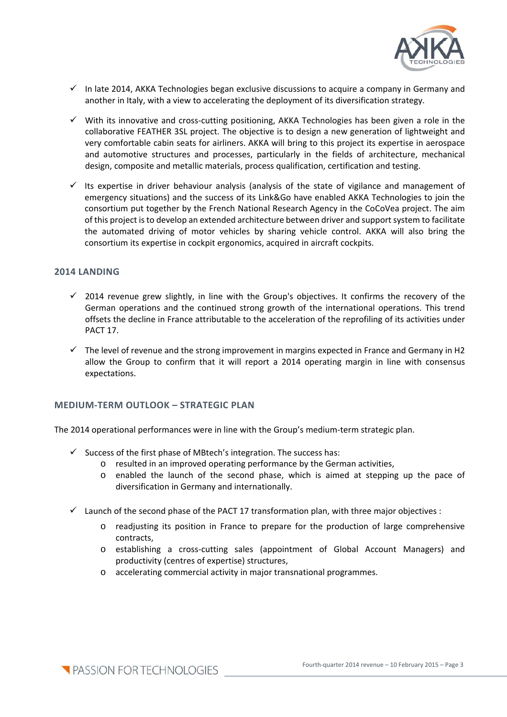

- $\checkmark$  In late 2014, AKKA Technologies began exclusive discussions to acquire a company in Germany and another in Italy, with a view to accelerating the deployment of its diversification strategy.
- $\checkmark$  With its innovative and cross-cutting positioning, AKKA Technologies has been given a role in the collaborative FEATHER 3SL project. The objective is to design a new generation of lightweight and very comfortable cabin seats for airliners. AKKA will bring to this project its expertise in aerospace and automotive structures and processes, particularly in the fields of architecture, mechanical design, composite and metallic materials, process qualification, certification and testing.
- Its expertise in driver behaviour analysis (analysis of the state of vigilance and management of emergency situations) and the success of its Link&Go have enabled AKKA Technologies to join the consortium put together by the French National Research Agency in the CoCoVea project. The aim of this project isto develop an extended architecture between driver and supportsystem to facilitate the automated driving of motor vehicles by sharing vehicle control. AKKA will also bring the consortium its expertise in cockpit ergonomics, acquired in aircraft cockpits.

#### **2014 LANDING**

- $\checkmark$  2014 revenue grew slightly, in line with the Group's objectives. It confirms the recovery of the German operations and the continued strong growth of the international operations. This trend offsets the decline in France attributable to the acceleration of the reprofiling of its activities under PACT 17.
- $\checkmark$  The level of revenue and the strong improvement in margins expected in France and Germany in H2 allow the Group to confirm that it will report a 2014 operating margin in line with consensus expectations.

#### **MEDIUM‐TERM OUTLOOK – STRATEGIC PLAN**

The 2014 operational performances were in line with the Group's medium‐term strategic plan.

- $\checkmark$  Success of the first phase of MBtech's integration. The success has:
	- o resulted in an improved operating performance by the German activities,
	- o enabled the launch of the second phase, which is aimed at stepping up the pace of diversification in Germany and internationally.
- $\checkmark$  Launch of the second phase of the PACT 17 transformation plan, with three major objectives :
	- o readjusting its position in France to prepare for the production of large comprehensive contracts,
	- o establishing a cross‐cutting sales (appointment of Global Account Managers) and productivity (centres of expertise) structures,
	- o accelerating commercial activity in major transnational programmes.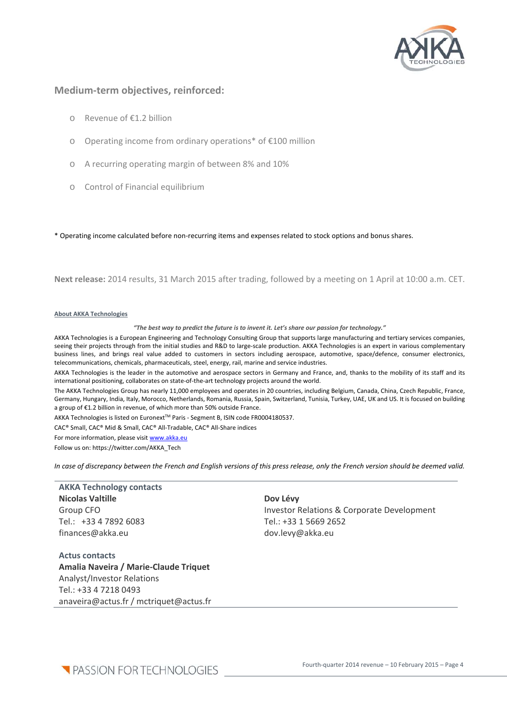

#### **Medium‐term objectives, reinforced:**

- o Revenue of €1.2 billion
- o Operating income from ordinary operations\* of €100 million
- o A recurring operating margin of between 8% and 10%
- o Control of Financial equilibrium

\* Operating income calculated before non‐recurring items and expenses related to stock options and bonus shares.

**Next release:** 2014 results, 31 March 2015 after trading, followed by a meeting on 1 April at 10:00 a.m. CET.

#### **About AKKA Technologies**

*"The best way to predict the future is to invent it. Let's share our passion for technology."* 

AKKA Technologies is a European Engineering and Technology Consulting Group that supports large manufacturing and tertiary services companies, seeing their projects through from the initial studies and R&D to large-scale production. AKKA Technologies is an expert in various complementary business lines, and brings real value added to customers in sectors including aerospace, automotive, space/defence, consumer electronics, telecommunications, chemicals, pharmaceuticals, steel, energy, rail, marine and service industries.

AKKA Technologies is the leader in the automotive and aerospace sectors in Germany and France, and, thanks to the mobility of its staff and its international positioning, collaborates on state‐of‐the‐art technology projects around the world.

The AKKA Technologies Group has nearly 11,000 employees and operates in 20 countries, including Belgium, Canada, China, Czech Republic, France, Germany, Hungary, India, Italy, Morocco, Netherlands, Romania, Russia, Spain, Switzerland, Tunisia, Turkey, UAE, UK and US. It is focused on building a group of €1.2 billion in revenue, of which more than 50% outside France.

AKKA Technologies is listed on Euronext™ Paris - Segment B, ISIN code FR0004180537.

CAC® Small, CAC® Mid & Small, CAC® All‐Tradable, CAC® All‐Share indices

For more information, please visit www.akka.eu

Follow us on: https://twitter.com/AKKA\_Tech

In case of discrepancy between the French and English versions of this press release, only the French version should be deemed valid.

#### **AKKA Technology contacts Nicolas Valtille** Group CFO Tel.: +33 4 7892 6083 finances@akka.eu

#### **Dov Lévy**

Investor Relations & Corporate Development Tel.: +33 1 5669 2652 dov.levy@akka.eu

**Actus contacts Amalia Naveira / Marie‐Claude Triquet** Analyst/Investor Relations Tel.: +33 4 7218 0493 anaveira@actus.fr / mctriquet@actus.fr

**T** PASSION FOR TECHNOLOGIES